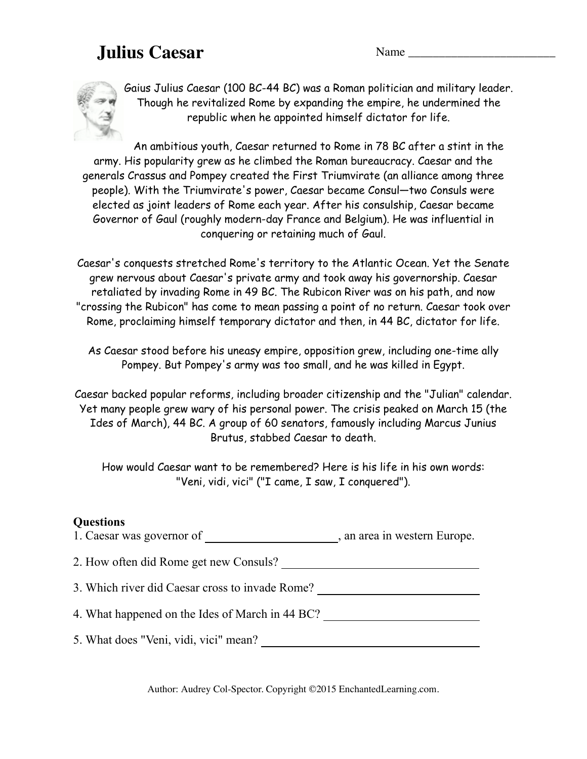## **Julius Caesar** Name Name



Gaius Julius Caesar (100 BC-44 BC) was a Roman politician and military leader. Though he revitalized Rome by expanding the empire, he undermined the republic when he appointed himself dictator for life.

An ambitious youth, Caesar returned to Rome in 78 BC after a stint in the army. His popularity grew as he climbed the Roman bureaucracy. Caesar and the generals Crassus and Pompey created the First Triumvirate (an alliance among three people). With the Triumvirate's power, Caesar became Consul—two Consuls were elected as joint leaders of Rome each year. After his consulship, Caesar became Governor of Gaul (roughly modern-day France and Belgium). He was influential in conquering or retaining much of Gaul.

Caesar's conquests stretched Rome's territory to the Atlantic Ocean. Yet the Senate grew nervous about Caesar's private army and took away his governorship. Caesar retaliated by invading Rome in 49 BC. The Rubicon River was on his path, and now "crossing the Rubicon" has come to mean passing a point of no return. Caesar took over Rome, proclaiming himself temporary dictator and then, in 44 BC, dictator for life.

As Caesar stood before his uneasy empire, opposition grew, including one-time ally Pompey. But Pompey's army was too small, and he was killed in Egypt.

Caesar backed popular reforms, including broader citizenship and the "Julian" calendar. Yet many people grew wary of his personal power. The crisis peaked on March 15 (the Ides of March), 44 BC. A group of 60 senators, famously including Marcus Junius Brutus, stabbed Caesar to death.

How would Caesar want to be remembered? Here is his life in his own words: "Veni, vidi, vici" ("I came, I saw, I conquered").

## **Questions**

1. Caesar was governor of \_\_\_\_\_\_\_\_\_\_\_\_\_\_\_\_\_\_\_\_\_\_\_, an area in western Europe. 2. How often did Rome get new Consuls? 3. Which river did Caesar cross to invade Rome? 4. What happened on the Ides of March in 44 BC? 5. What does "Veni, vidi, vici" mean?

Author: Audrey Col-Spector. Copyright ©2015 EnchantedLearning.com.